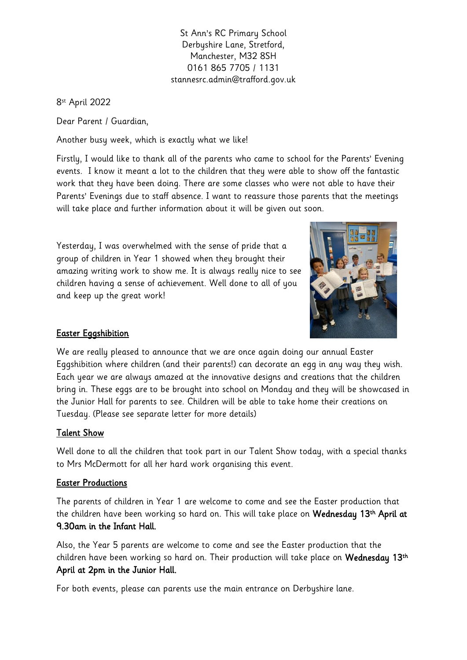St Ann's RC Primary School Derbyshire Lane, Stretford, Manchester, M32 8SH 0161 865 7705 / 1131 stannesrc.admin@trafford.gov.uk

8 st April 2022

Dear Parent / Guardian,

Another busy week, which is exactly what we like!

Firstly, I would like to thank all of the parents who came to school for the Parents' Evening events. I know it meant a lot to the children that they were able to show off the fantastic work that they have been doing. There are some classes who were not able to have their Parents' Evenings due to staff absence. I want to reassure those parents that the meetings will take place and further information about it will be given out soon.

Yesterday, I was overwhelmed with the sense of pride that a group of children in Year 1 showed when they brought their amazing writing work to show me. It is always really nice to see children having a sense of achievement. Well done to all of you and keep up the great work!



## **Easter Eggshibition**

We are really pleased to announce that we are once again doing our annual Easter Eggshibition where children (and their parents!) can decorate an egg in any way they wish. Each year we are always amazed at the innovative designs and creations that the children bring in. These eggs are to be brought into school on Monday and they will be showcased in the Junior Hall for parents to see. Children will be able to take home their creations on Tuesday. (Please see separate letter for more details)

## Talent Show

Well done to all the children that took part in our Talent Show today, with a special thanks to Mrs McDermott for all her hard work organising this event.

## Easter Productions

The parents of children in Year 1 are welcome to come and see the Easter production that the children have been working so hard on. This will take place on **Wednesday 13<sup>th</sup> April at** 9.30am in the Infant Hall.

Also, the Year 5 parents are welcome to come and see the Easter production that the children have been working so hard on. Their production will take place on Wednesday 13th April at 2pm in the Junior Hall.

For both events, please can parents use the main entrance on Derbyshire lane.